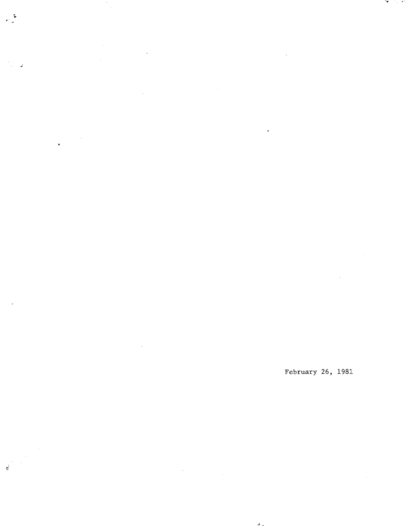$\epsilon$ 

 $\mathcal{A}^{\mathcal{A}}$  $\hat{\mathcal{A}}$  $\hat{\mathcal{L}}$ 

 $\mathbf{r}$ 

 $\vec{\kappa}$ 

 $\sim$ 

 $\label{eq:2.1} \frac{1}{\sqrt{2}}\sum_{i=1}^n\frac{1}{\sqrt{2\pi}}\sum_{i=1}^n\frac{1}{\sqrt{2\pi}}\sum_{i=1}^n\frac{1}{\sqrt{2\pi}}\sum_{i=1}^n\frac{1}{\sqrt{2\pi}}\sum_{i=1}^n\frac{1}{\sqrt{2\pi}}\sum_{i=1}^n\frac{1}{\sqrt{2\pi}}\sum_{i=1}^n\frac{1}{\sqrt{2\pi}}\sum_{i=1}^n\frac{1}{\sqrt{2\pi}}\sum_{i=1}^n\frac{1}{\sqrt{2\pi}}\sum_{i=1}^n\frac{$  $\ddot{\phantom{0}}$ 

 $\sim$ 

 $\label{eq:2.1} \frac{1}{\sqrt{2}}\int_{\mathbb{R}^3}\frac{1}{\sqrt{2}}\left(\frac{1}{\sqrt{2}}\right)^2\frac{1}{\sqrt{2}}\left(\frac{1}{\sqrt{2}}\right)^2\frac{1}{\sqrt{2}}\left(\frac{1}{\sqrt{2}}\right)^2.$ 

 $\sim$ 

 $\ddot{\phantom{a}}$ 

 $4.1$ 

February 26, 1981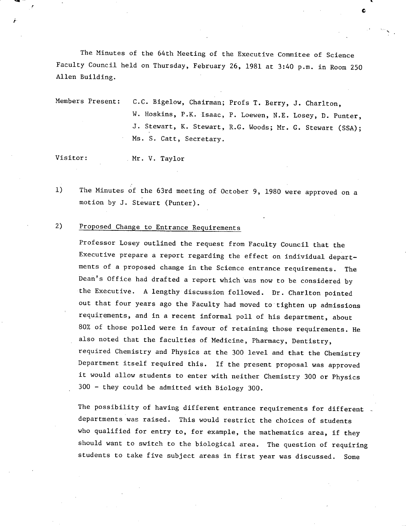The Minutes of the 64th Meeting of the Executive Commitee of Science Faculty Council held on Thursday, February 26, 1981 at 3:40 p.m. in Room 250 Allen Building.

. The contract of the contract of the contract of the contract of the contract of the contract of the contract of the contract of the contract of the contract of the contract of the contract of the contract of the contrac

C

Members Present: C.C. Bigelow, Chairman; Profs T. Berry, J. Charlton, W. Hoskins, P.K. Isaac, P. Loewen, N.E. Losey, D. Punter, J. Stewart, K. Stewart, R.G. Woods; Mr. G. Stewart (SSA); Ms. S. Catt, Secretary.

Visitor: Mr. V. Taylor

The Minutes of the 63rd meeting of October 9, 1980 were approved on a  $1)$ motion by J. Stewart (Punter).

### 2) Proposed Change to Entrance Requirements

Professor Losey outlined the request from Faculty Council that the Executive prepare a report regarding the effect on individual departments of a proposed change in the Science entrance requirements. The Dean's Office had drafted a report which was now to be considered by the Executive. A lengthy discussion followed. Dr. Charlton pointed out that four years ago the Faculty had moved to tighten up admissions requirements, and in a recent informal poll of his department, about 80% of those polled were in favour of retaining those requirements. He also noted that the faculties of Medicine, Pharmacy, Dentistry, required Chemistry and Physics at the 300 level and that the Chemistry Department itself required this. If the present proposal was approved it would allow students to enter with neither Chemistry 300 or Physics 300 - they could be admitted with Biology 300.

The possibility of having different entrance requirements for different departments was raised. This would restrict the choices of students who qualified for entry to, for example, the mathematics area, if they should want to switch to the biological area. The question of requiring students to take five subject areas in first year was discussed. Some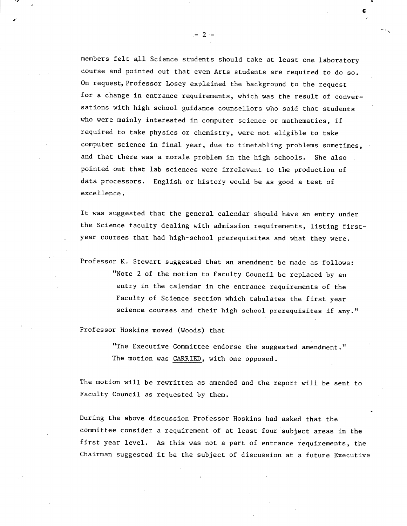members felt all Science students should take at least one laboratory course and pointed out that even Arts students are required to do so. On request, Professor Losey explained the background to the request for a change in entrance requirements, which was the result of conversations with high school guidance counsellors who said that students who were mainly interested in computer science or mathematics, if required to take physics or chemistry, were not eligible to take computer science in final year, due to timetabling problems sometimes, and that there was a morale problem in the high schools. She also pointed out that lab sciences were irrelevent to the production of data processors. English or history would be as good a test of excellence.

It was suggested that the general calendar should have an entry under the Science faculty dealing with admission requirements, listing firstyear courses that had high-school prerequisites and what they were.

Professor K. Stewart suggested that an amendment be made as follows: "Note 2 of the motion to Faculty Council be replaced by an entry in the calendar in the entrance requirements of the Faculty of Science section which tabulates the first year science courses and their high school prerequisites if any."

Professor Hoskins moved (Woods) that

"The Executive Committee endorse the suggested amendment." The motion was CARRIED, with one opposed.

The motion will be rewritten as amended and the report will be sent to Faculty Council as requested by them.

During the above discussion Professor Hoskins had asked that the committee consider a requirement of at least four subject areas in the first year level. As this was not a part of entrance requirements, the Chairman suggested it be the subject of discussion at a future Executive

-2-

1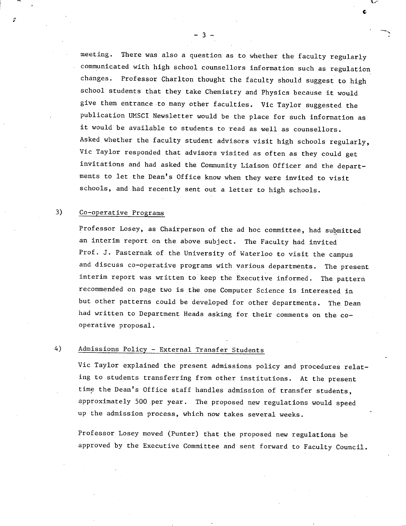meeting. There was also a question as to whether the faculty regularly communicated with high school counsellors information such as regulation changes. Professor Charlton thought the faculty should suggest to high school students that they take Chemistry and Physics because it would give them entrance to many other faculties. Vic Taylor suggested the publication UNSCI Newsletter would be the place for such information as it would be available to students to read as well as counsellors. Asked whether the faculty student advisors visit high schools regularly, Vic Taylor responded that advisors visited as often as they could get invitations and had asked the Community Liaison Officer and the departments to let the Dean's Office know when they were invited to visit schools, and had recently sent out a letter to high schools.

**C** 

#### $3)$ Co-operative Programs

Professor Losey, as Chairperson of the ad hoc committee, had submitted an interim report on the above subject. The Faculty had invited Prof. J. Pasternak of the University of Waterloo to visit the campus and discuss co-operative programs with various departments. The present interim report was written to keep the Executive informed. The pattern recommended on page two is the one Computer Science is interested in but other patterns could be developed for other departments. The Dean had written to Department Heads asking for their comments on the cooperative proposal.

### $4)$ Admissions Policy - External Transfer Students

Vic Taylor explained the present admissions policy and procedures relating to students transferring from other institutions. At the present time the Dean's Office staff handles admission of transfer students, approximately 500 per year. The proposed new regulations would speed up the admission process, which now takes several weeks.

Professor Losey moved (Punter) that the proposed new regulations be approved by the Executive Committee and sent forward to Faculty Council.

-3-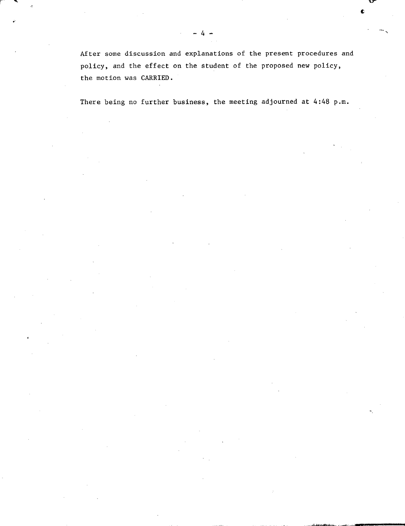After some discussion and explanations of the present procedures and policy, and the effect on the student of the proposed new policy, the motion was CARRIED.

There being no further business, the meeting adjourned at 4:48 p.m.

-